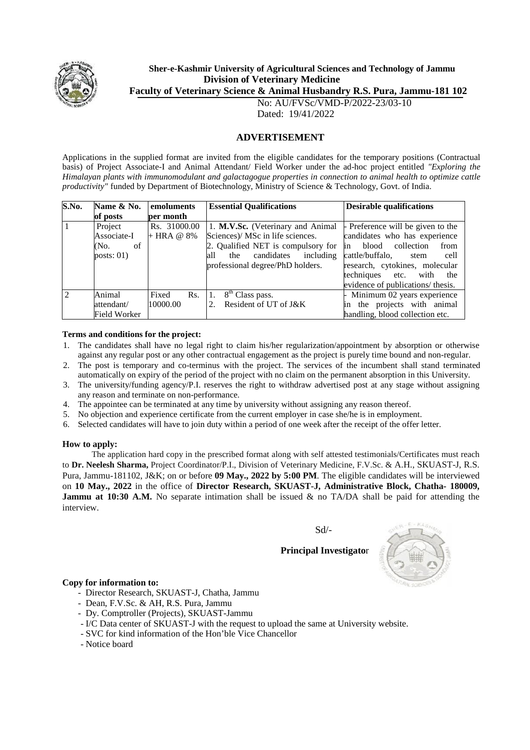

# **Sher-e-Kashmir University of Agricultural Sciences and Technology of Jammu Division of Veterinary Medicine**

**Faculty of Veterinary Science & Animal Husbandry R.S. Pura, Jammu-181 102**

No: AU/FVSc/VMD-P/2022-23/03-10 Dated: 19/41/2022

## **ADVERTISEMENT**

Applications in the supplied format are invited from the eligible candidates for the temporary positions (Contractual basis) of Project Associate-I and Animal Attendant/ Field Worker under the ad-hoc project entitled *"Exploring the Himalayan plants with immunomodulant and galactagogue properties in connection to animal health to optimize cattle productivity"* funded by Department of Biotechnology, Ministry of Science & Technology, Govt. of India.

| S.No. | Name & No.                                                   | emoluments   | <b>Essential Qualifications</b>       | <b>Desirable qualifications</b>               |  |
|-------|--------------------------------------------------------------|--------------|---------------------------------------|-----------------------------------------------|--|
|       | of posts                                                     | per month    |                                       |                                               |  |
|       | Project<br>Rs. 31000.00<br>1. M.V.Sc. (Veterinary and Animal |              |                                       | $\frac{1}{2}$ Preference will be given to the |  |
|       | Associate-I                                                  | $+$ HRA @ 8% | Sciences)/ MSc in life sciences.      | candidates who has experience                 |  |
|       | (No.<br>of                                                   |              | 2. Qualified NET is compulsory for    | blood<br>collection<br>from<br><sub>in</sub>  |  |
|       | posts: $01)$                                                 |              | candidates<br>including<br>the<br>all | cattle/buffalo.<br>cell<br>stem               |  |
|       |                                                              |              | professional degree/PhD holders.      | research, cytokines, molecular                |  |
|       |                                                              |              |                                       | techniques etc. with<br>the                   |  |
|       |                                                              |              |                                       | evidence of publications/ thesis.             |  |
| 2     | Animal                                                       | Fixed<br>Rs. | 8 <sup>th</sup> Class pass.           | Minimum 02 years experience                   |  |
|       | attendant/                                                   | 10000.00     | Resident of UT of J&K                 | in the projects with animal                   |  |
|       | Field Worker                                                 |              |                                       | handling, blood collection etc.               |  |

#### **Terms and conditions for the project:**

- 1. The candidates shall have no legal right to claim his/her regularization/appointment by absorption or otherwise against any regular post or any other contractual engagement as the project is purely time bound and non-regular.
- 2. The post is temporary and co-terminus with the project. The services of the incumbent shall stand terminated automatically on expiry of the period of the project with no claim on the permanent absorption in this University.
- 3. The university/funding agency/P.I. reserves the right to withdraw advertised post at any stage without assigning any reason and terminate on non-performance.
- 4. The appointee can be terminated at any time by university without assigning any reason thereof.
- 5. No objection and experience certificate from the current employer in case she/he is in employment.
- 6. Selected candidates will have to join duty within a period of one week after the receipt of the offer letter.

#### **How to apply:**

The application hard copy in the prescribed format along with self attested testimonials/Certificates must reach to **Dr. Neelesh Sharma,** Project Coordinator/P.I., Division of Veterinary Medicine, F.V.Sc. & A.H., SKUAST-J, R.S. Pura, Jammu-181102, J&K; on or before **09 May., 2022 by 5:00 PM**. The eligible candidates will be interviewed on **10 May., 2022** in the office of **Director Research, SKUAST-J, Administrative Block, Chatha- 180009, Jammu at 10:30 A.M.** No separate intimation shall be issued & no TA/DA shall be paid for attending the interview.

Sd/-

**Principal Investigato**r



#### **Copy for information to:**

- Director Research, SKUAST-J, Chatha, Jammu
- Dean, F.V.Sc. & AH, R.S. Pura, Jammu
- Dy. Comptroller (Projects), SKUAST-Jammu
- I/C Data center of SKUAST-J with the request to upload the same at University website.
- SVC for kind information of the Hon'ble Vice Chancellor
- Notice board